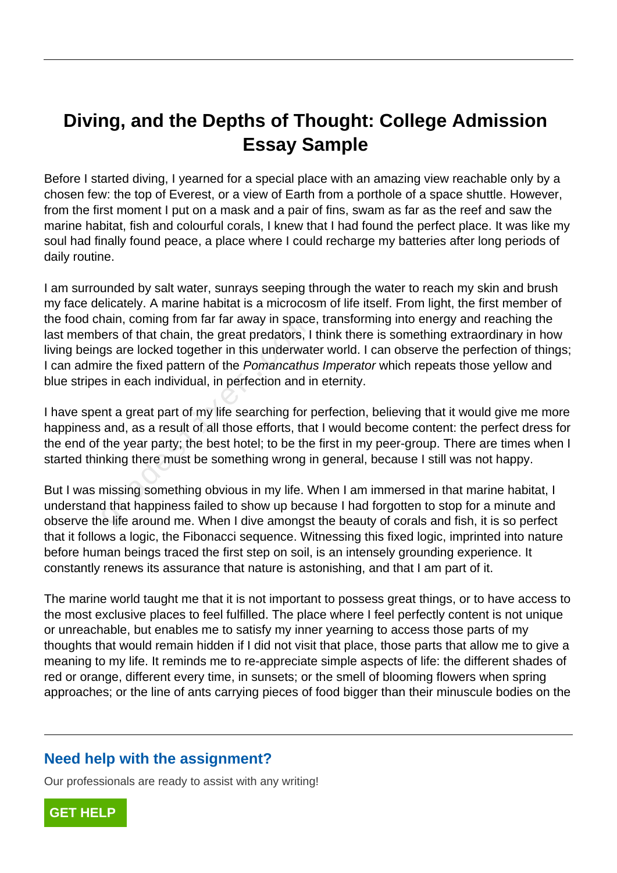## **Diving, and the Depths of Thought: College Admission Essay Sample**

Before I started diving, I yearned for a special place with an amazing view reachable only by a chosen few: the top of Everest, or a view of Earth from a porthole of a space shuttle. However, from the first moment I put on a mask and a pair of fins, swam as far as the reef and saw the marine habitat, fish and colourful corals, I knew that I had found the perfect place. It was like my soul had finally found peace, a place where I could recharge my batteries after long periods of daily routine.

I am surrounded by salt water, sunrays seeping through the water to reach my skin and brush my face delicately. A marine habitat is a microcosm of life itself. From light, the first member of the food chain, coming from far far away in space, transforming into energy and reaching the last members of that chain, the great predators, I think there is something extraordinary in how living beings are locked together in this underwater world. I can observe the perfection of things; I can admire the fixed pattern of the Pomancathus Imperator which repeats those yellow and blue stripes in each individual, in perfection and in eternity. rain, coming nontrial far away in space<br>ers of that chain, the great predators, I<br>gs are locked together in this underwat<br>re the fixed pattern of the *Pomancathu*<br>s in each individual, in perfection and it<br>nt a great part

I have spent a great part of my life searching for perfection, believing that it would give me more happiness and, as a result of all those efforts, that I would become content: the perfect dress for the end of the year party; the best hotel; to be the first in my peer-group. There are times when I started thinking there must be something wrong in general, because I still was not happy.

But I was missing something obvious in my life. When I am immersed in that marine habitat, I understand that happiness failed to show up because I had forgotten to stop for a minute and observe the life around me. When I dive amongst the beauty of corals and fish, it is so perfect that it follows a logic, the Fibonacci sequence. Witnessing this fixed logic, imprinted into nature before human beings traced the first step on soil, is an intensely grounding experience. It constantly renews its assurance that nature is astonishing, and that I am part of it.

The marine world taught me that it is not important to possess great things, or to have access to the most exclusive places to feel fulfilled. The place where I feel perfectly content is not unique or unreachable, but enables me to satisfy my inner yearning to access those parts of my thoughts that would remain hidden if I did not visit that place, those parts that allow me to give a meaning to my life. It reminds me to re-appreciate simple aspects of life: the different shades of red or orange, different every time, in sunsets; or the smell of blooming flowers when spring approaches; or the line of ants carrying pieces of food bigger than their minuscule bodies on the

## **Need help with the assignment?**

Our professionals are ready to assist with any writing!